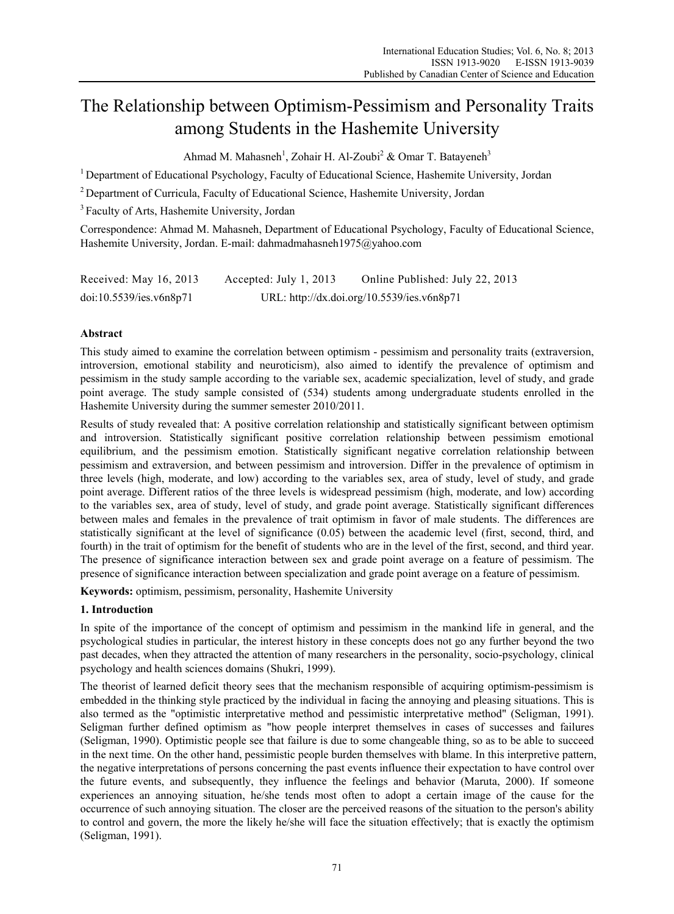# The Relationship between Optimism-Pessimism and Personality Traits among Students in the Hashemite University

Ahmad M. Mahasneh<sup>1</sup>, Zohair H. Al-Zoubi<sup>2</sup> & Omar T. Batayeneh<sup>3</sup>

<sup>1</sup> Department of Educational Psychology, Faculty of Educational Science, Hashemite University, Jordan

<sup>2</sup> Department of Curricula, Faculty of Educational Science, Hashemite University, Jordan

<sup>3</sup> Faculty of Arts, Hashemite University, Jordan

Correspondence: Ahmad M. Mahasneh, Department of Educational Psychology, Faculty of Educational Science, Hashemite University, Jordan. E-mail: dahmadmahasneh1975@yahoo.com

| Received: May 16, 2013  | Accepted: July 1, 2013 | Online Published: July 22, 2013            |
|-------------------------|------------------------|--------------------------------------------|
| doi:10.5539/ies.v6n8p71 |                        | URL: http://dx.doi.org/10.5539/ies.v6n8p71 |

# **Abstract**

This study aimed to examine the correlation between optimism - pessimism and personality traits (extraversion, introversion, emotional stability and neuroticism), also aimed to identify the prevalence of optimism and pessimism in the study sample according to the variable sex, academic specialization, level of study, and grade point average. The study sample consisted of (534) students among undergraduate students enrolled in the Hashemite University during the summer semester 2010/2011.

Results of study revealed that: A positive correlation relationship and statistically significant between optimism and introversion. Statistically significant positive correlation relationship between pessimism emotional equilibrium, and the pessimism emotion. Statistically significant negative correlation relationship between pessimism and extraversion, and between pessimism and introversion. Differ in the prevalence of optimism in three levels (high, moderate, and low) according to the variables sex, area of study, level of study, and grade point average. Different ratios of the three levels is widespread pessimism (high, moderate, and low) according to the variables sex, area of study, level of study, and grade point average. Statistically significant differences between males and females in the prevalence of trait optimism in favor of male students. The differences are statistically significant at the level of significance (0.05) between the academic level (first, second, third, and fourth) in the trait of optimism for the benefit of students who are in the level of the first, second, and third year. The presence of significance interaction between sex and grade point average on a feature of pessimism. The presence of significance interaction between specialization and grade point average on a feature of pessimism.

**Keywords:** optimism, pessimism, personality, Hashemite University

## **1. Introduction**

In spite of the importance of the concept of optimism and pessimism in the mankind life in general, and the psychological studies in particular, the interest history in these concepts does not go any further beyond the two past decades, when they attracted the attention of many researchers in the personality, socio-psychology, clinical psychology and health sciences domains (Shukri, 1999).

The theorist of learned deficit theory sees that the mechanism responsible of acquiring optimism-pessimism is embedded in the thinking style practiced by the individual in facing the annoying and pleasing situations. This is also termed as the "optimistic interpretative method and pessimistic interpretative method" (Seligman, 1991). Seligman further defined optimism as "how people interpret themselves in cases of successes and failures (Seligman, 1990). Optimistic people see that failure is due to some changeable thing, so as to be able to succeed in the next time. On the other hand, pessimistic people burden themselves with blame. In this interpretive pattern, the negative interpretations of persons concerning the past events influence their expectation to have control over the future events, and subsequently, they influence the feelings and behavior (Maruta, 2000). If someone experiences an annoying situation, he/she tends most often to adopt a certain image of the cause for the occurrence of such annoying situation. The closer are the perceived reasons of the situation to the person's ability to control and govern, the more the likely he/she will face the situation effectively; that is exactly the optimism (Seligman, 1991).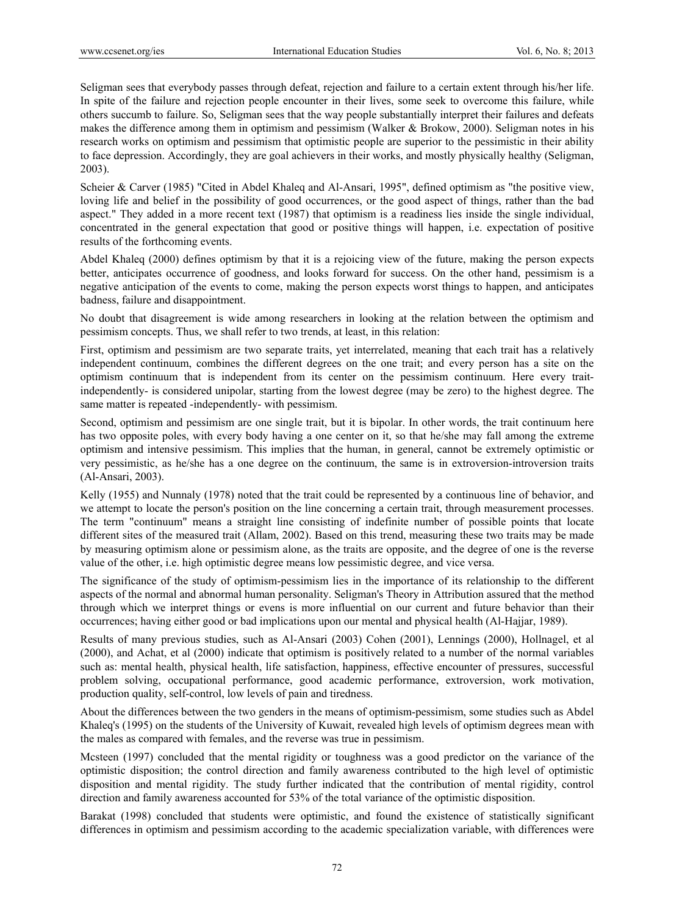Seligman sees that everybody passes through defeat, rejection and failure to a certain extent through his/her life. In spite of the failure and rejection people encounter in their lives, some seek to overcome this failure, while others succumb to failure. So, Seligman sees that the way people substantially interpret their failures and defeats makes the difference among them in optimism and pessimism (Walker & Brokow, 2000). Seligman notes in his research works on optimism and pessimism that optimistic people are superior to the pessimistic in their ability to face depression. Accordingly, they are goal achievers in their works, and mostly physically healthy (Seligman, 2003).

Scheier & Carver (1985) "Cited in Abdel Khaleq and Al-Ansari, 1995", defined optimism as "the positive view, loving life and belief in the possibility of good occurrences, or the good aspect of things, rather than the bad aspect." They added in a more recent text (1987) that optimism is a readiness lies inside the single individual, concentrated in the general expectation that good or positive things will happen, i.e. expectation of positive results of the forthcoming events.

Abdel Khaleq (2000) defines optimism by that it is a rejoicing view of the future, making the person expects better, anticipates occurrence of goodness, and looks forward for success. On the other hand, pessimism is a negative anticipation of the events to come, making the person expects worst things to happen, and anticipates badness, failure and disappointment.

No doubt that disagreement is wide among researchers in looking at the relation between the optimism and pessimism concepts. Thus, we shall refer to two trends, at least, in this relation:

First, optimism and pessimism are two separate traits, yet interrelated, meaning that each trait has a relatively independent continuum, combines the different degrees on the one trait; and every person has a site on the optimism continuum that is independent from its center on the pessimism continuum. Here every traitindependently- is considered unipolar, starting from the lowest degree (may be zero) to the highest degree. The same matter is repeated -independently- with pessimism.

Second, optimism and pessimism are one single trait, but it is bipolar. In other words, the trait continuum here has two opposite poles, with every body having a one center on it, so that he/she may fall among the extreme optimism and intensive pessimism. This implies that the human, in general, cannot be extremely optimistic or very pessimistic, as he/she has a one degree on the continuum, the same is in extroversion-introversion traits (Al-Ansari, 2003).

Kelly (1955) and Nunnaly (1978) noted that the trait could be represented by a continuous line of behavior, and we attempt to locate the person's position on the line concerning a certain trait, through measurement processes. The term "continuum" means a straight line consisting of indefinite number of possible points that locate different sites of the measured trait (Allam, 2002). Based on this trend, measuring these two traits may be made by measuring optimism alone or pessimism alone, as the traits are opposite, and the degree of one is the reverse value of the other, i.e. high optimistic degree means low pessimistic degree, and vice versa.

The significance of the study of optimism-pessimism lies in the importance of its relationship to the different aspects of the normal and abnormal human personality. Seligman's Theory in Attribution assured that the method through which we interpret things or evens is more influential on our current and future behavior than their occurrences; having either good or bad implications upon our mental and physical health (Al-Hajjar, 1989).

Results of many previous studies, such as Al-Ansari (2003) Cohen (2001), Lennings (2000), Hollnagel, et al (2000), and Achat, et al (2000) indicate that optimism is positively related to a number of the normal variables such as: mental health, physical health, life satisfaction, happiness, effective encounter of pressures, successful problem solving, occupational performance, good academic performance, extroversion, work motivation, production quality, self-control, low levels of pain and tiredness.

About the differences between the two genders in the means of optimism-pessimism, some studies such as Abdel Khaleq's (1995) on the students of the University of Kuwait, revealed high levels of optimism degrees mean with the males as compared with females, and the reverse was true in pessimism.

Mcsteen (1997) concluded that the mental rigidity or toughness was a good predictor on the variance of the optimistic disposition; the control direction and family awareness contributed to the high level of optimistic disposition and mental rigidity. The study further indicated that the contribution of mental rigidity, control direction and family awareness accounted for 53% of the total variance of the optimistic disposition.

Barakat (1998) concluded that students were optimistic, and found the existence of statistically significant differences in optimism and pessimism according to the academic specialization variable, with differences were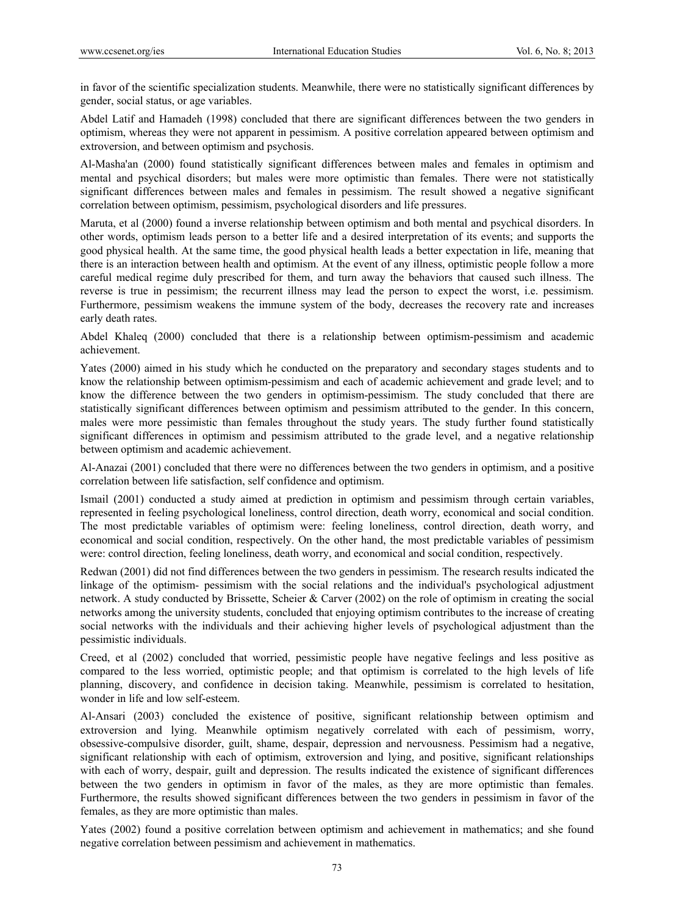in favor of the scientific specialization students. Meanwhile, there were no statistically significant differences by gender, social status, or age variables.

Abdel Latif and Hamadeh (1998) concluded that there are significant differences between the two genders in optimism, whereas they were not apparent in pessimism. A positive correlation appeared between optimism and extroversion, and between optimism and psychosis.

Al-Masha'an (2000) found statistically significant differences between males and females in optimism and mental and psychical disorders; but males were more optimistic than females. There were not statistically significant differences between males and females in pessimism. The result showed a negative significant correlation between optimism, pessimism, psychological disorders and life pressures.

Maruta, et al (2000) found a inverse relationship between optimism and both mental and psychical disorders. In other words, optimism leads person to a better life and a desired interpretation of its events; and supports the good physical health. At the same time, the good physical health leads a better expectation in life, meaning that there is an interaction between health and optimism. At the event of any illness, optimistic people follow a more careful medical regime duly prescribed for them, and turn away the behaviors that caused such illness. The reverse is true in pessimism; the recurrent illness may lead the person to expect the worst, i.e. pessimism. Furthermore, pessimism weakens the immune system of the body, decreases the recovery rate and increases early death rates.

Abdel Khaleq (2000) concluded that there is a relationship between optimism-pessimism and academic achievement.

Yates (2000) aimed in his study which he conducted on the preparatory and secondary stages students and to know the relationship between optimism-pessimism and each of academic achievement and grade level; and to know the difference between the two genders in optimism-pessimism. The study concluded that there are statistically significant differences between optimism and pessimism attributed to the gender. In this concern, males were more pessimistic than females throughout the study years. The study further found statistically significant differences in optimism and pessimism attributed to the grade level, and a negative relationship between optimism and academic achievement.

Al-Anazai (2001) concluded that there were no differences between the two genders in optimism, and a positive correlation between life satisfaction, self confidence and optimism.

Ismail (2001) conducted a study aimed at prediction in optimism and pessimism through certain variables, represented in feeling psychological loneliness, control direction, death worry, economical and social condition. The most predictable variables of optimism were: feeling loneliness, control direction, death worry, and economical and social condition, respectively. On the other hand, the most predictable variables of pessimism were: control direction, feeling loneliness, death worry, and economical and social condition, respectively.

Redwan (2001) did not find differences between the two genders in pessimism. The research results indicated the linkage of the optimism- pessimism with the social relations and the individual's psychological adjustment network. A study conducted by Brissette, Scheier & Carver (2002) on the role of optimism in creating the social networks among the university students, concluded that enjoying optimism contributes to the increase of creating social networks with the individuals and their achieving higher levels of psychological adjustment than the pessimistic individuals.

Creed, et al (2002) concluded that worried, pessimistic people have negative feelings and less positive as compared to the less worried, optimistic people; and that optimism is correlated to the high levels of life planning, discovery, and confidence in decision taking. Meanwhile, pessimism is correlated to hesitation, wonder in life and low self-esteem.

Al-Ansari (2003) concluded the existence of positive, significant relationship between optimism and extroversion and lying. Meanwhile optimism negatively correlated with each of pessimism, worry, obsessive-compulsive disorder, guilt, shame, despair, depression and nervousness. Pessimism had a negative, significant relationship with each of optimism, extroversion and lying, and positive, significant relationships with each of worry, despair, guilt and depression. The results indicated the existence of significant differences between the two genders in optimism in favor of the males, as they are more optimistic than females. Furthermore, the results showed significant differences between the two genders in pessimism in favor of the females, as they are more optimistic than males.

Yates (2002) found a positive correlation between optimism and achievement in mathematics; and she found negative correlation between pessimism and achievement in mathematics.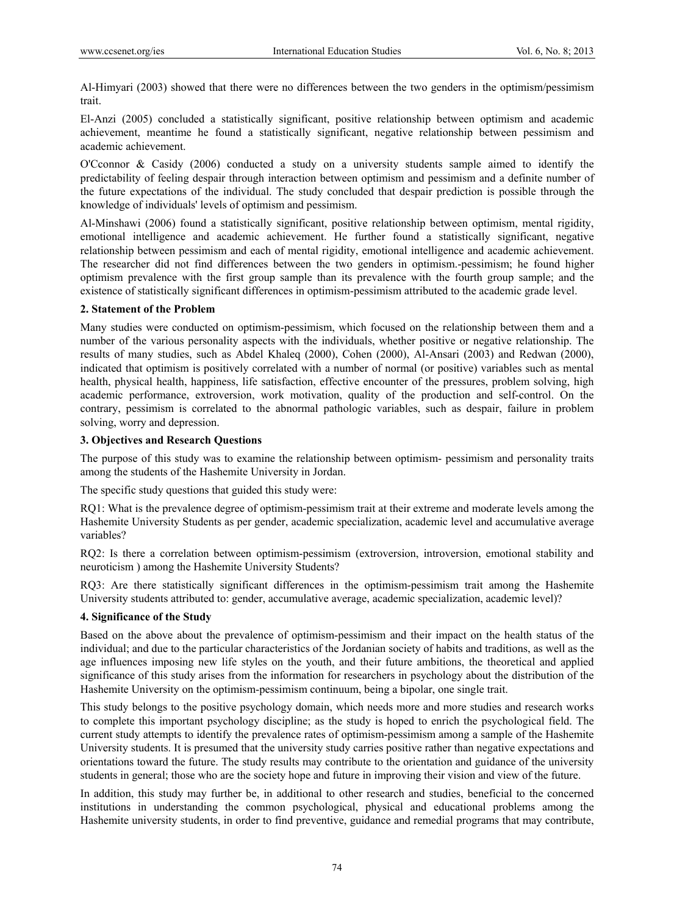Al-Himyari (2003) showed that there were no differences between the two genders in the optimism/pessimism trait.

El-Anzi (2005) concluded a statistically significant, positive relationship between optimism and academic achievement, meantime he found a statistically significant, negative relationship between pessimism and academic achievement.

O'Cconnor & Casidy (2006) conducted a study on a university students sample aimed to identify the predictability of feeling despair through interaction between optimism and pessimism and a definite number of the future expectations of the individual. The study concluded that despair prediction is possible through the knowledge of individuals' levels of optimism and pessimism.

Al-Minshawi (2006) found a statistically significant, positive relationship between optimism, mental rigidity, emotional intelligence and academic achievement. He further found a statistically significant, negative relationship between pessimism and each of mental rigidity, emotional intelligence and academic achievement. The researcher did not find differences between the two genders in optimism.-pessimism; he found higher optimism prevalence with the first group sample than its prevalence with the fourth group sample; and the existence of statistically significant differences in optimism-pessimism attributed to the academic grade level.

# **2. Statement of the Problem**

Many studies were conducted on optimism-pessimism, which focused on the relationship between them and a number of the various personality aspects with the individuals, whether positive or negative relationship. The results of many studies, such as Abdel Khaleq (2000), Cohen (2000), Al-Ansari (2003) and Redwan (2000), indicated that optimism is positively correlated with a number of normal (or positive) variables such as mental health, physical health, happiness, life satisfaction, effective encounter of the pressures, problem solving, high academic performance, extroversion, work motivation, quality of the production and self-control. On the contrary, pessimism is correlated to the abnormal pathologic variables, such as despair, failure in problem solving, worry and depression.

# **3. Objectives and Research Questions**

The purpose of this study was to examine the relationship between optimism- pessimism and personality traits among the students of the Hashemite University in Jordan.

The specific study questions that guided this study were:

RQ1: What is the prevalence degree of optimism-pessimism trait at their extreme and moderate levels among the Hashemite University Students as per gender, academic specialization, academic level and accumulative average variables?

RQ2: Is there a correlation between optimism-pessimism (extroversion, introversion, emotional stability and neuroticism ) among the Hashemite University Students?

RQ3: Are there statistically significant differences in the optimism-pessimism trait among the Hashemite University students attributed to: gender, accumulative average, academic specialization, academic level)?

## **4. Significance of the Study**

Based on the above about the prevalence of optimism-pessimism and their impact on the health status of the individual; and due to the particular characteristics of the Jordanian society of habits and traditions, as well as the age influences imposing new life styles on the youth, and their future ambitions, the theoretical and applied significance of this study arises from the information for researchers in psychology about the distribution of the Hashemite University on the optimism-pessimism continuum, being a bipolar, one single trait.

This study belongs to the positive psychology domain, which needs more and more studies and research works to complete this important psychology discipline; as the study is hoped to enrich the psychological field. The current study attempts to identify the prevalence rates of optimism-pessimism among a sample of the Hashemite University students. It is presumed that the university study carries positive rather than negative expectations and orientations toward the future. The study results may contribute to the orientation and guidance of the university students in general; those who are the society hope and future in improving their vision and view of the future.

In addition, this study may further be, in additional to other research and studies, beneficial to the concerned institutions in understanding the common psychological, physical and educational problems among the Hashemite university students, in order to find preventive, guidance and remedial programs that may contribute,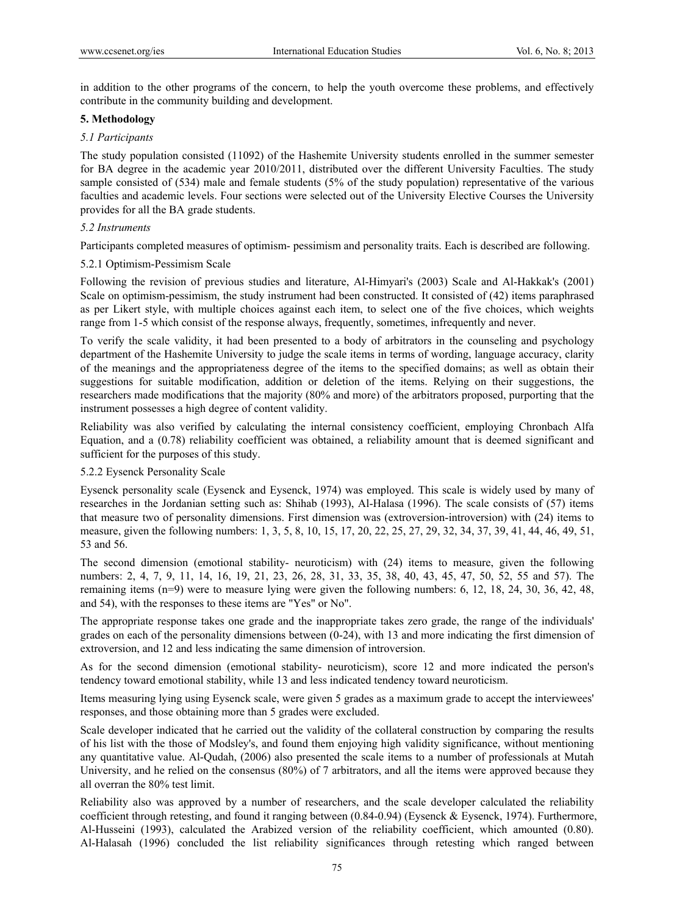in addition to the other programs of the concern, to help the youth overcome these problems, and effectively contribute in the community building and development.

## **5. Methodology**

## *5.1 Participants*

The study population consisted (11092) of the Hashemite University students enrolled in the summer semester for BA degree in the academic year 2010/2011, distributed over the different University Faculties. The study sample consisted of (534) male and female students (5% of the study population) representative of the various faculties and academic levels. Four sections were selected out of the University Elective Courses the University provides for all the BA grade students.

# *5.2 Instruments*

Participants completed measures of optimism- pessimism and personality traits. Each is described are following.

# 5.2.1 Optimism-Pessimism Scale

Following the revision of previous studies and literature, Al-Himyari's (2003) Scale and Al-Hakkak's (2001) Scale on optimism-pessimism, the study instrument had been constructed. It consisted of (42) items paraphrased as per Likert style, with multiple choices against each item, to select one of the five choices, which weights range from 1-5 which consist of the response always, frequently, sometimes, infrequently and never.

To verify the scale validity, it had been presented to a body of arbitrators in the counseling and psychology department of the Hashemite University to judge the scale items in terms of wording, language accuracy, clarity of the meanings and the appropriateness degree of the items to the specified domains; as well as obtain their suggestions for suitable modification, addition or deletion of the items. Relying on their suggestions, the researchers made modifications that the majority (80% and more) of the arbitrators proposed, purporting that the instrument possesses a high degree of content validity.

Reliability was also verified by calculating the internal consistency coefficient, employing Chronbach Alfa Equation, and a (0.78) reliability coefficient was obtained, a reliability amount that is deemed significant and sufficient for the purposes of this study.

# 5.2.2 Eysenck Personality Scale

Eysenck personality scale (Eysenck and Eysenck, 1974) was employed. This scale is widely used by many of researches in the Jordanian setting such as: Shihab (1993), Al-Halasa (1996). The scale consists of (57) items that measure two of personality dimensions. First dimension was (extroversion-introversion) with (24) items to measure, given the following numbers: 1, 3, 5, 8, 10, 15, 17, 20, 22, 25, 27, 29, 32, 34, 37, 39, 41, 44, 46, 49, 51, 53 and 56.

The second dimension (emotional stability- neuroticism) with (24) items to measure, given the following numbers: 2, 4, 7, 9, 11, 14, 16, 19, 21, 23, 26, 28, 31, 33, 35, 38, 40, 43, 45, 47, 50, 52, 55 and 57). The remaining items (n=9) were to measure lying were given the following numbers: 6, 12, 18, 24, 30, 36, 42, 48, and 54), with the responses to these items are "Yes" or No".

The appropriate response takes one grade and the inappropriate takes zero grade, the range of the individuals' grades on each of the personality dimensions between (0-24), with 13 and more indicating the first dimension of extroversion, and 12 and less indicating the same dimension of introversion.

As for the second dimension (emotional stability- neuroticism), score 12 and more indicated the person's tendency toward emotional stability, while 13 and less indicated tendency toward neuroticism.

Items measuring lying using Eysenck scale, were given 5 grades as a maximum grade to accept the interviewees' responses, and those obtaining more than 5 grades were excluded.

Scale developer indicated that he carried out the validity of the collateral construction by comparing the results of his list with the those of Modsley's, and found them enjoying high validity significance, without mentioning any quantitative value. Al-Qudah, (2006) also presented the scale items to a number of professionals at Mutah University, and he relied on the consensus (80%) of 7 arbitrators, and all the items were approved because they all overran the 80% test limit.

Reliability also was approved by a number of researchers, and the scale developer calculated the reliability coefficient through retesting, and found it ranging between (0.84-0.94) (Eysenck & Eysenck, 1974). Furthermore, Al-Husseini (1993), calculated the Arabized version of the reliability coefficient, which amounted (0.80). Al-Halasah (1996) concluded the list reliability significances through retesting which ranged between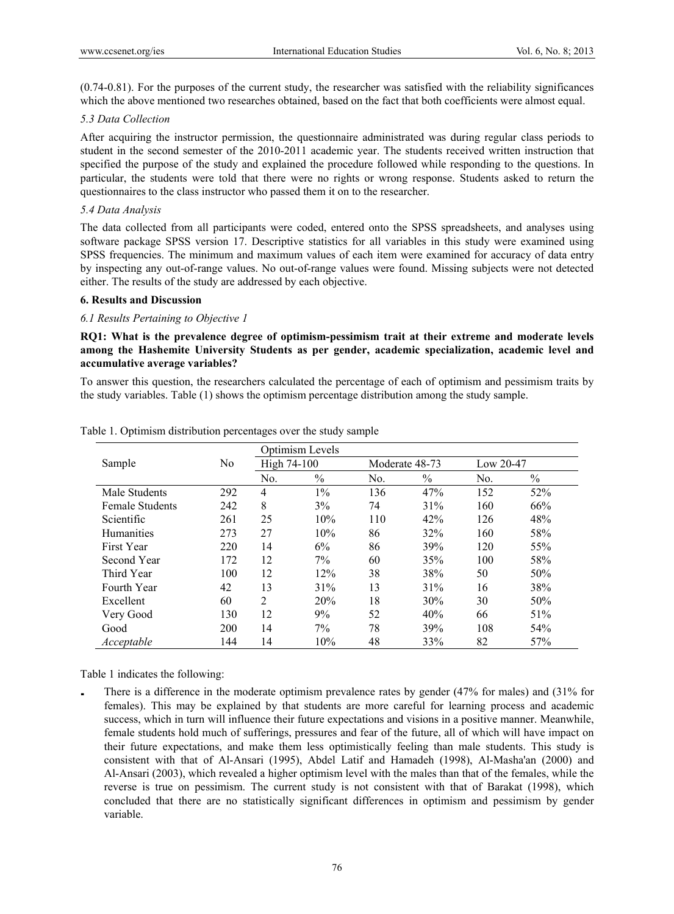(0.74-0.81). For the purposes of the current study, the researcher was satisfied with the reliability significances which the above mentioned two researches obtained, based on the fact that both coefficients were almost equal.

#### *5.3 Data Collection*

After acquiring the instructor permission, the questionnaire administrated was during regular class periods to student in the second semester of the 2010-2011 academic year. The students received written instruction that specified the purpose of the study and explained the procedure followed while responding to the questions. In particular, the students were told that there were no rights or wrong response. Students asked to return the questionnaires to the class instructor who passed them it on to the researcher.

# *5.4 Data Analysis*

The data collected from all participants were coded, entered onto the SPSS spreadsheets, and analyses using software package SPSS version 17. Descriptive statistics for all variables in this study were examined using SPSS frequencies. The minimum and maximum values of each item were examined for accuracy of data entry by inspecting any out-of-range values. No out-of-range values were found. Missing subjects were not detected either. The results of the study are addressed by each objective.

# **6. Results and Discussion**

#### *6.1 Results Pertaining to Objective 1*

**RQ1: What is the prevalence degree of optimism-pessimism trait at their extreme and moderate levels among the Hashemite University Students as per gender, academic specialization, academic level and accumulative average variables?** 

To answer this question, the researchers calculated the percentage of each of optimism and pessimism traits by the study variables. Table (1) shows the optimism percentage distribution among the study sample.

|                        |                | Optimism Levels |             |     |                |     |             |
|------------------------|----------------|-----------------|-------------|-----|----------------|-----|-------------|
| Sample                 | N <sub>0</sub> |                 | High 74-100 |     | Moderate 48-73 |     | Low $20-47$ |
|                        |                | No.             | $\%$        | No. | $\frac{0}{0}$  | No. | $\%$        |
| Male Students          | 292            | 4               | $1\%$       | 136 | 47%            | 152 | 52%         |
| <b>Female Students</b> | 242            | 8               | 3%          | 74  | 31%            | 160 | 66%         |
| Scientific             | 261            | 25              | 10%         | 110 | 42%            | 126 | 48%         |
| <b>Humanities</b>      | 273            | 27              | 10%         | 86  | 32%            | 160 | 58%         |
| <b>First Year</b>      | 220            | 14              | 6%          | 86  | 39%            | 120 | 55%         |
| Second Year            | 172            | 12              | $7\%$       | 60  | 35%            | 100 | 58%         |
| Third Year             | 100            | 12              | 12%         | 38  | 38%            | 50  | 50%         |
| Fourth Year            | 42             | 13              | 31%         | 13  | 31%            | 16  | 38%         |
| Excellent              | 60             | $\overline{2}$  | 20%         | 18  | 30%            | 30  | 50%         |
| Very Good              | 130            | 12              | 9%          | 52  | 40%            | 66  | 51%         |
| Good                   | 200            | 14              | 7%          | 78  | 39%            | 108 | 54%         |
| Acceptable             | 144            | 14              | 10%         | 48  | 33%            | 82  | 57%         |

Table 1. Optimism distribution percentages over the study sample

Table 1 indicates the following:

**.** There is a difference in the moderate optimism prevalence rates by gender (47% for males) and (31% for females). This may be explained by that students are more careful for learning process and academic success, which in turn will influence their future expectations and visions in a positive manner. Meanwhile, female students hold much of sufferings, pressures and fear of the future, all of which will have impact on their future expectations, and make them less optimistically feeling than male students. This study is consistent with that of Al-Ansari (1995), Abdel Latif and Hamadeh (1998), Al-Masha'an (2000) and Al-Ansari (2003), which revealed a higher optimism level with the males than that of the females, while the reverse is true on pessimism. The current study is not consistent with that of Barakat (1998), which concluded that there are no statistically significant differences in optimism and pessimism by gender variable.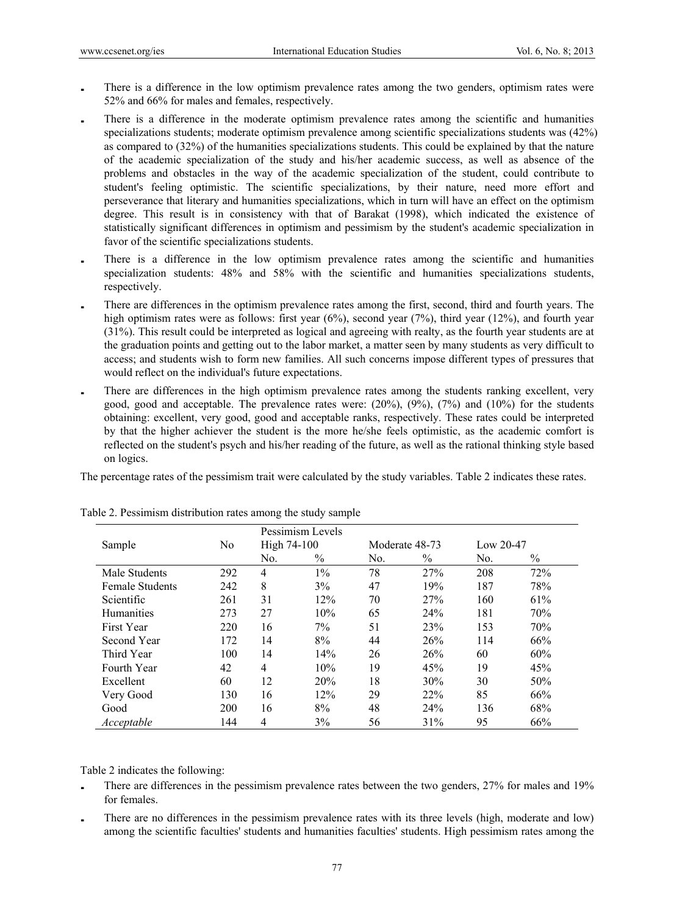- **.** There is a difference in the low optimism prevalence rates among the two genders, optimism rates were 52% and 66% for males and females, respectively.
- **.** There is a difference in the moderate optimism prevalence rates among the scientific and humanities specializations students; moderate optimism prevalence among scientific specializations students was (42%) as compared to (32%) of the humanities specializations students. This could be explained by that the nature of the academic specialization of the study and his/her academic success, as well as absence of the problems and obstacles in the way of the academic specialization of the student, could contribute to student's feeling optimistic. The scientific specializations, by their nature, need more effort and perseverance that literary and humanities specializations, which in turn will have an effect on the optimism degree. This result is in consistency with that of Barakat (1998), which indicated the existence of statistically significant differences in optimism and pessimism by the student's academic specialization in favor of the scientific specializations students.
- **.** There is a difference in the low optimism prevalence rates among the scientific and humanities specialization students: 48% and 58% with the scientific and humanities specializations students, respectively.
- **.** There are differences in the optimism prevalence rates among the first, second, third and fourth years. The high optimism rates were as follows: first year (6%), second year (7%), third year (12%), and fourth year (31%). This result could be interpreted as logical and agreeing with realty, as the fourth year students are at the graduation points and getting out to the labor market, a matter seen by many students as very difficult to access; and students wish to form new families. All such concerns impose different types of pressures that would reflect on the individual's future expectations.
- **.** There are differences in the high optimism prevalence rates among the students ranking excellent, very good, good and acceptable. The prevalence rates were: (20%), (9%), (7%) and (10%) for the students obtaining: excellent, very good, good and acceptable ranks, respectively. These rates could be interpreted by that the higher achiever the student is the more he/she feels optimistic, as the academic comfort is reflected on the student's psych and his/her reading of the future, as well as the rational thinking style based on logics.

The percentage rates of the pessimism trait were calculated by the study variables. Table 2 indicates these rates.

|                        | N <sub>0</sub> | Pessimism Levels |       |                |      |             |      |
|------------------------|----------------|------------------|-------|----------------|------|-------------|------|
| Sample                 |                | High 74-100      |       | Moderate 48-73 |      | Low $20-47$ |      |
|                        |                | No.              | $\%$  | No.            | $\%$ | No.         | $\%$ |
| Male Students          | 292            | 4                | $1\%$ | 78             | 27%  | 208         | 72%  |
| <b>Female Students</b> | 242            | 8                | 3%    | 47             | 19%  | 187         | 78%  |
| Scientific             | 261            | 31               | 12%   | 70             | 27%  | 160         | 61%  |
| <b>Humanities</b>      | 273            | 27               | 10%   | 65             | 24%  | 181         | 70%  |
| First Year             | 220            | 16               | $7\%$ | 51             | 23%  | 153         | 70%  |
| Second Year            | 172            | 14               | 8%    | 44             | 26%  | 114         | 66%  |
| Third Year             | 100            | 14               | 14%   | 26             | 26%  | 60          | 60%  |
| Fourth Year            | 42             | 4                | 10%   | 19             | 45%  | 19          | 45%  |
| Excellent              | 60             | 12               | 20%   | 18             | 30%  | 30          | 50%  |
| Very Good              | 130            | 16               | 12%   | 29             | 22%  | 85          | 66%  |
| Good                   | 200            | 16               | 8%    | 48             | 24%  | 136         | 68%  |
| Acceptable             | 144            | $\overline{4}$   | 3%    | 56             | 31%  | 95          | 66%  |

Table 2. Pessimism distribution rates among the study sample

Table 2 indicates the following:

- **.** There are differences in the pessimism prevalence rates between the two genders, 27% for males and 19% for females.
- **.** There are no differences in the pessimism prevalence rates with its three levels (high, moderate and low) among the scientific faculties' students and humanities faculties' students. High pessimism rates among the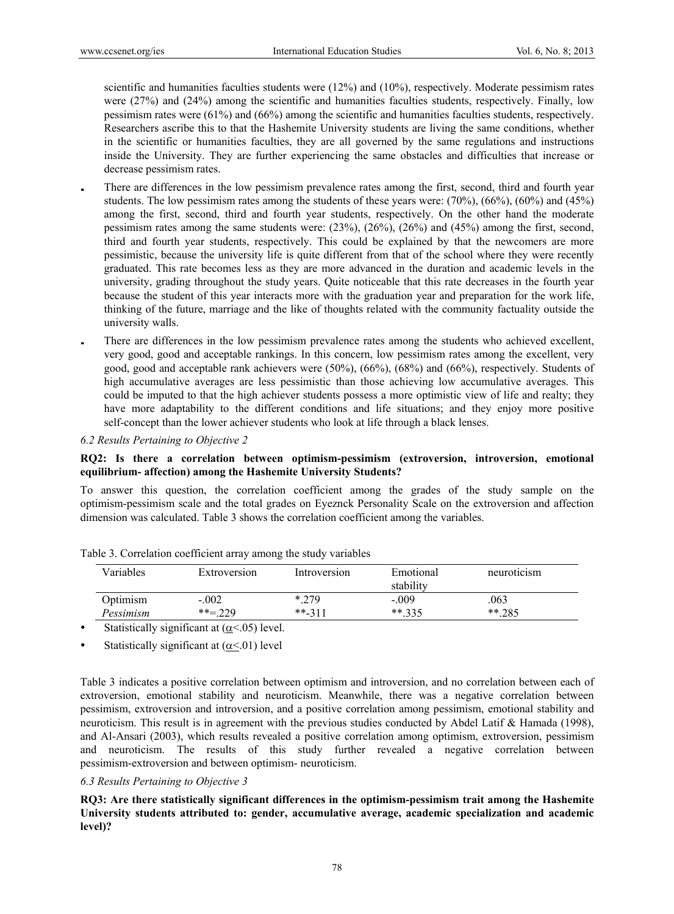scientific and humanities faculties students were (12%) and (10%), respectively. Moderate pessimism rates were (27%) and (24%) among the scientific and humanities faculties students, respectively. Finally, low pessimism rates were (61%) and (66%) among the scientific and humanities faculties students, respectively. Researchers ascribe this to that the Hashemite University students are living the same conditions, whether in the scientific or humanities faculties, they are all governed by the same regulations and instructions inside the University. They are further experiencing the same obstacles and difficulties that increase or decrease pessimism rates.

- **.** There are differences in the low pessimism prevalence rates among the first, second, third and fourth year students. The low pessimism rates among the students of these years were: (70%), (66%), (60%) and (45%) among the first, second, third and fourth year students, respectively. On the other hand the moderate pessimism rates among the same students were: (23%), (26%), (26%) and (45%) among the first, second, third and fourth year students, respectively. This could be explained by that the newcomers are more pessimistic, because the university life is quite different from that of the school where they were recently graduated. This rate becomes less as they are more advanced in the duration and academic levels in the university, grading throughout the study years. Quite noticeable that this rate decreases in the fourth year because the student of this year interacts more with the graduation year and preparation for the work life, thinking of the future, marriage and the like of thoughts related with the community factuality outside the university walls.
- **.** There are differences in the low pessimism prevalence rates among the students who achieved excellent, very good, good and acceptable rankings. In this concern, low pessimism rates among the excellent, very good, good and acceptable rank achievers were (50%), (66%), (68%) and (66%), respectively. Students of high accumulative averages are less pessimistic than those achieving low accumulative averages. This could be imputed to that the high achiever students possess a more optimistic view of life and realty; they have more adaptability to the different conditions and life situations; and they enjoy more positive self-concept than the lower achiever students who look at life through a black lenses.

#### *6.2 Results Pertaining to Objective 2*

## **RQ2: Is there a correlation between optimism-pessimism (extroversion, introversion, emotional equilibrium- affection) among the Hashemite University Students?**

To answer this question, the correlation coefficient among the grades of the study sample on the optimism-pessimism scale and the total grades on Eyeznck Personality Scale on the extroversion and affection dimension was calculated. Table 3 shows the correlation coefficient among the variables.

| Variables | Extroversion | Introversion | Emotional | neuroticism |
|-----------|--------------|--------------|-----------|-------------|
|           |              |              | stability |             |
| Optimism  | $-.002$      | $*279$       | $-.009$   | .063        |
| Pessimism | $** = 229$   | $***-311$    | $** 335$  | $** .285$   |

|  | Table 3. Correlation coefficient array among the study variables |  |
|--|------------------------------------------------------------------|--|
|  |                                                                  |  |

Statistically significant at  $(\alpha < 0.05)$  level.

Statistically significant at  $(\alpha \leq 01)$  level

Table 3 indicates a positive correlation between optimism and introversion, and no correlation between each of extroversion, emotional stability and neuroticism. Meanwhile, there was a negative correlation between pessimism, extroversion and introversion, and a positive correlation among pessimism, emotional stability and neuroticism. This result is in agreement with the previous studies conducted by Abdel Latif & Hamada (1998), and Al-Ansari (2003), which results revealed a positive correlation among optimism, extroversion, pessimism and neuroticism. The results of this study further revealed a negative correlation between pessimism-extroversion and between optimism- neuroticism.

## *6.3 Results Pertaining to Objective 3*

**RQ3: Are there statistically significant differences in the optimism-pessimism trait among the Hashemite University students attributed to: gender, accumulative average, academic specialization and academic level)?**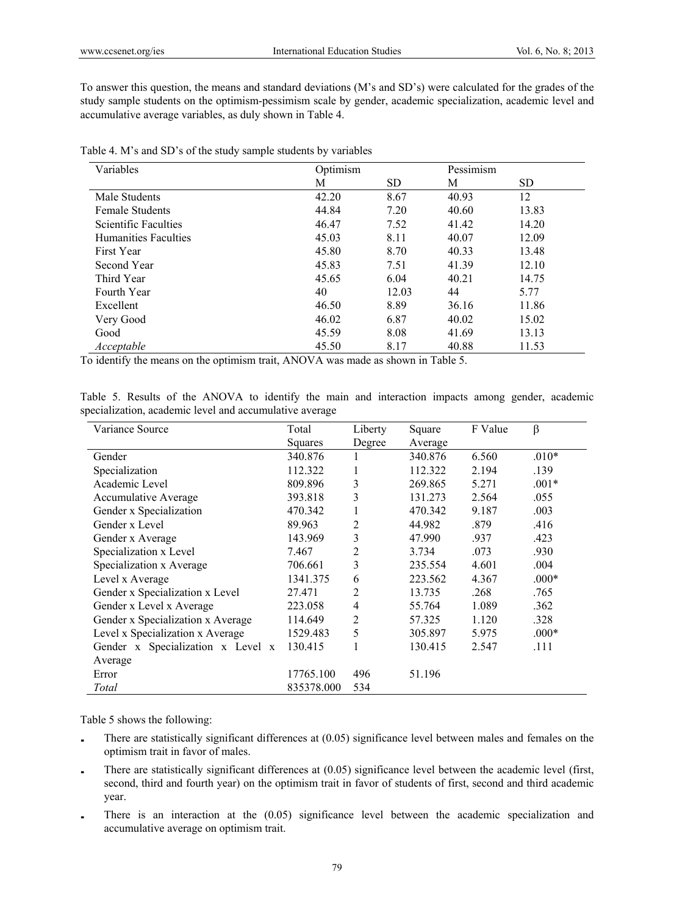To answer this question, the means and standard deviations (M's and SD's) were calculated for the grades of the study sample students on the optimism-pessimism scale by gender, academic specialization, academic level and accumulative average variables, as duly shown in Table 4.

| Variables              | Optimism |           |       | Pessimism |  |  |
|------------------------|----------|-----------|-------|-----------|--|--|
|                        | M        | <b>SD</b> | М     | <b>SD</b> |  |  |
| Male Students          | 42.20    | 8.67      | 40.93 | 12        |  |  |
| <b>Female Students</b> | 44.84    | 7.20      | 40.60 | 13.83     |  |  |
| Scientific Faculties   | 46.47    | 7.52      | 41.42 | 14.20     |  |  |
| Humanities Faculties   | 45.03    | 8.11      | 40.07 | 12.09     |  |  |
| First Year             | 45.80    | 8.70      | 40.33 | 13.48     |  |  |
| Second Year            | 45.83    | 7.51      | 41.39 | 12.10     |  |  |
| Third Year             | 45.65    | 6.04      | 40.21 | 14.75     |  |  |
| Fourth Year            | 40       | 12.03     | 44    | 5.77      |  |  |
| Excellent              | 46.50    | 8.89      | 36.16 | 11.86     |  |  |
| Very Good              | 46.02    | 6.87      | 40.02 | 15.02     |  |  |
| Good                   | 45.59    | 8.08      | 41.69 | 13.13     |  |  |
| Acceptable             | 45.50    | 8.17      | 40.88 | 11.53     |  |  |

Table 4. M's and SD's of the study sample students by variables

To identify the means on the optimism trait, ANOVA was made as shown in Table 5.

Table 5. Results of the ANOVA to identify the main and interaction impacts among gender, academic specialization, academic level and accumulative average

| Variance Source                   | Total      | Liberty | Square  | F Value | β       |
|-----------------------------------|------------|---------|---------|---------|---------|
|                                   | Squares    | Degree  | Average |         |         |
| Gender                            | 340.876    |         | 340.876 | 6.560   | $.010*$ |
| Specialization                    | 112.322    | 1       | 112.322 | 2.194   | .139    |
| Academic Level                    | 809.896    | 3       | 269.865 | 5.271   | $.001*$ |
| <b>Accumulative Average</b>       | 393.818    | 3       | 131.273 | 2.564   | .055    |
| Gender x Specialization           | 470.342    | 1       | 470.342 | 9.187   | .003    |
| Gender x Level                    | 89.963     | 2       | 44.982  | .879    | .416    |
| Gender x Average                  | 143.969    | 3       | 47.990  | .937    | .423    |
| Specialization x Level            | 7.467      | 2       | 3.734   | .073    | .930    |
| Specialization x Average          | 706.661    | 3       | 235.554 | 4.601   | .004    |
| Level x Average                   | 1341.375   | 6       | 223.562 | 4.367   | $.000*$ |
| Gender x Specialization x Level   | 27.471     | 2       | 13.735  | .268    | .765    |
| Gender x Level x Average          | 223.058    | 4       | 55.764  | 1.089   | .362    |
| Gender x Specialization x Average | 114.649    | 2       | 57.325  | 1.120   | .328    |
| Level x Specialization x Average  | 1529.483   | 5       | 305.897 | 5.975   | $.000*$ |
| Gender x Specialization x Level x | 130.415    | Ι.      | 130.415 | 2.547   | .111    |
| Average                           |            |         |         |         |         |
| Error                             | 17765.100  | 496     | 51.196  |         |         |
| Total                             | 835378.000 | 534     |         |         |         |

Table 5 shows the following:

- **.** There are statistically significant differences at (0.05) significance level between males and females on the optimism trait in favor of males.
- **.** There are statistically significant differences at (0.05) significance level between the academic level (first, second, third and fourth year) on the optimism trait in favor of students of first, second and third academic year.
- There is an interaction at the (0.05) significance level between the academic specialization and accumulative average on optimism trait.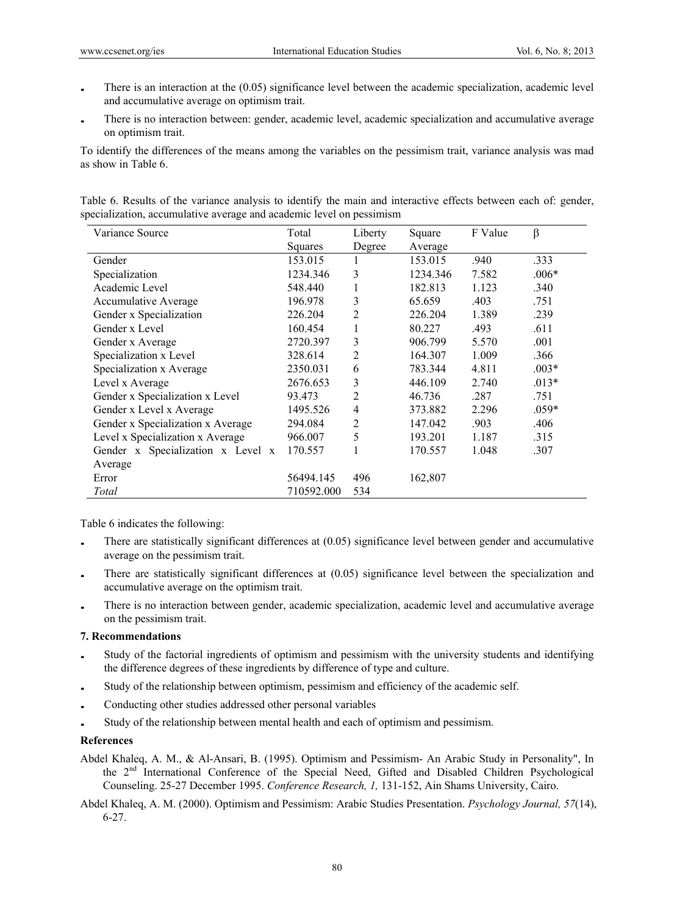- **.** There is an interaction at the (0.05) significance level between the academic specialization, academic level and accumulative average on optimism trait.
- **.** There is no interaction between: gender, academic level, academic specialization and accumulative average on optimism trait.

To identify the differences of the means among the variables on the pessimism trait, variance analysis was mad as show in Table 6.

Table 6. Results of the variance analysis to identify the main and interactive effects between each of: gender, specialization, accumulative average and academic level on pessimism

| Variance Source                   | Total      | Liberty        | Square   | F Value | $\beta$ |
|-----------------------------------|------------|----------------|----------|---------|---------|
|                                   | Squares    | Degree         | Average  |         |         |
| Gender                            | 153.015    |                | 153.015  | .940    | .333    |
| Specialization                    | 1234.346   | 3              | 1234.346 | 7.582   | $.006*$ |
| Academic Level                    | 548.440    |                | 182.813  | 1.123   | .340    |
| <b>Accumulative Average</b>       | 196.978    | 3              | 65.659   | .403    | .751    |
| Gender x Specialization           | 226.204    | 2              | 226.204  | 1.389   | .239    |
| Gender x Level                    | 160.454    | $\mathbf{1}$   | 80.227   | .493    | .611    |
| Gender x Average                  | 2720.397   | 3              | 906.799  | 5.570   | .001    |
| Specialization x Level            | 328.614    | 2              | 164.307  | 1.009   | .366    |
| Specialization x Average          | 2350.031   | 6              | 783.344  | 4.811   | $.003*$ |
| Level x Average                   | 2676.653   | 3              | 446.109  | 2.740   | $.013*$ |
| Gender x Specialization x Level   | 93.473     | $\overline{2}$ | 46.736   | .287    | .751    |
| Gender x Level x Average          | 1495.526   | 4              | 373.882  | 2.296   | $.059*$ |
| Gender x Specialization x Average | 294.084    | 2              | 147.042  | .903    | .406    |
| Level x Specialization x Average  | 966.007    | 5              | 193.201  | 1.187   | .315    |
| Gender x Specialization x Level x | 170.557    |                | 170.557  | 1.048   | .307    |
| Average                           |            |                |          |         |         |
| Error                             | 56494.145  | 496            | 162,807  |         |         |
| Total                             | 710592.000 | 534            |          |         |         |

Table 6 indicates the following:

- **.** There are statistically significant differences at (0.05) significance level between gender and accumulative average on the pessimism trait.
- **.** There are statistically significant differences at (0.05) significance level between the specialization and accumulative average on the optimism trait.
- **.** There is no interaction between gender, academic specialization, academic level and accumulative average on the pessimism trait.

## **7. Recommendations**

- **.** Study of the factorial ingredients of optimism and pessimism with the university students and identifying the difference degrees of these ingredients by difference of type and culture.
- **.** Study of the relationship between optimism, pessimism and efficiency of the academic self.
- **.** Conducting other studies addressed other personal variables
- **.** Study of the relationship between mental health and each of optimism and pessimism.

# **References**

- Abdel Khaleq, A. M., & Al-Ansari, B. (1995). Optimism and Pessimism- An Arabic Study in Personality", In the 2<sup>nd</sup> International Conference of the Special Need, Gifted and Disabled Children Psychological Counseling. 25-27 December 1995. *Conference Research, 1,* 131-152, Ain Shams University, Cairo.
- Abdel Khaleq, A. M. (2000). Optimism and Pessimism: Arabic Studies Presentation. *Psychology Journal, 57*(14), 6-27.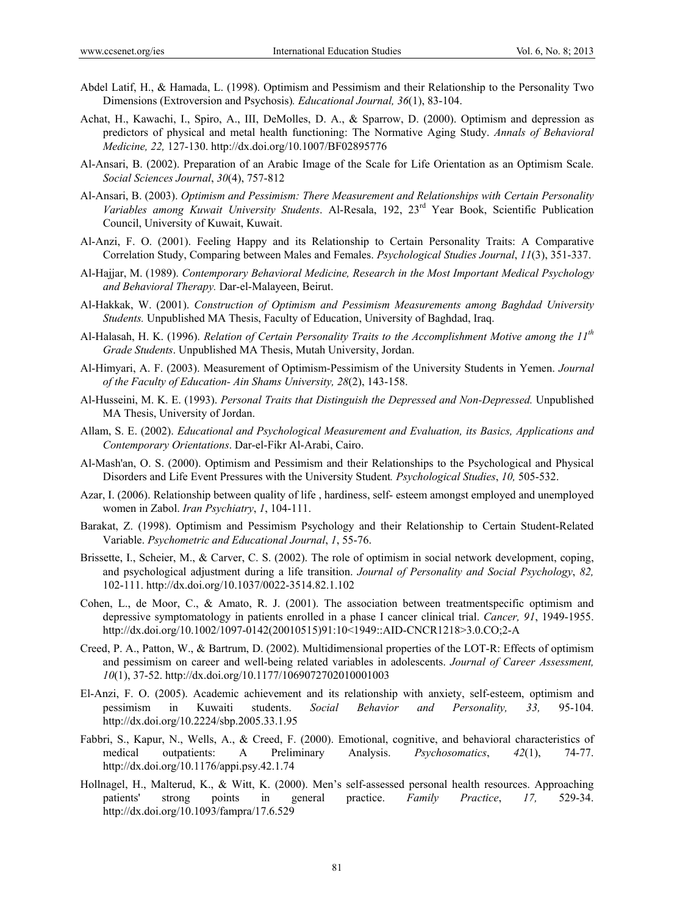- Abdel Latif, H., & Hamada, L. (1998). Optimism and Pessimism and their Relationship to the Personality Two Dimensions (Extroversion and Psychosis)*. Educational Journal, 36*(1), 83-104.
- Achat, H., Kawachi, I., Spiro, A., III, DeMolles, D. A., & Sparrow, D. (2000). Optimism and depression as predictors of physical and metal health functioning: The Normative Aging Study. *Annals of Behavioral Medicine, 22,* 127-130. http://dx.doi.org/10.1007/BF02895776
- Al-Ansari, B. (2002). Preparation of an Arabic Image of the Scale for Life Orientation as an Optimism Scale. *Social Sciences Journal*, *30*(4), 757-812
- Al-Ansari, B. (2003). *Optimism and Pessimism: There Measurement and Relationships with Certain Personality Variables among Kuwait University Students*. Al-Resala, 192, 23rd Year Book, Scientific Publication Council, University of Kuwait, Kuwait.
- Al-Anzi, F. O. (2001). Feeling Happy and its Relationship to Certain Personality Traits: A Comparative Correlation Study, Comparing between Males and Females. *Psychological Studies Journal*, *11*(3), 351-337.
- Al-Hajjar, M. (1989). *Contemporary Behavioral Medicine, Research in the Most Important Medical Psychology and Behavioral Therapy.* Dar-el-Malayeen, Beirut.
- Al-Hakkak, W. (2001). *Construction of Optimism and Pessimism Measurements among Baghdad University Students.* Unpublished MA Thesis, Faculty of Education, University of Baghdad, Iraq.
- Al-Halasah, H. K. (1996). *Relation of Certain Personality Traits to the Accomplishment Motive among the 11th Grade Students*. Unpublished MA Thesis, Mutah University, Jordan.
- Al-Himyari, A. F. (2003). Measurement of Optimism-Pessimism of the University Students in Yemen. *Journal of the Faculty of Education- Ain Shams University, 28*(2), 143-158.
- Al-Husseini, M. K. E. (1993). *Personal Traits that Distinguish the Depressed and Non-Depressed.* Unpublished MA Thesis, University of Jordan.
- Allam, S. E. (2002). *Educational and Psychological Measurement and Evaluation, its Basics, Applications and Contemporary Orientations*. Dar-el-Fikr Al-Arabi, Cairo.
- Al-Mash'an, O. S. (2000). Optimism and Pessimism and their Relationships to the Psychological and Physical Disorders and Life Event Pressures with the University Student*. Psychological Studies*, *10,* 505-532.
- Azar, I. (2006). Relationship between quality of life , hardiness, self- esteem amongst employed and unemployed women in Zabol. *Iran Psychiatry*, *1*, 104-111.
- Barakat, Z. (1998). Optimism and Pessimism Psychology and their Relationship to Certain Student-Related Variable. *Psychometric and Educational Journal*, *1*, 55-76.
- Brissette, I., Scheier, M., & Carver, C. S. (2002). The role of optimism in social network development, coping, and psychological adjustment during a life transition. *Journal of Personality and Social Psychology*, *82,*  102-111. http://dx.doi.org/10.1037/0022-3514.82.1.102
- Cohen, L., de Moor, C., & Amato, R. J. (2001). The association between treatmentspecific optimism and depressive symptomatology in patients enrolled in a phase I cancer clinical trial. *Cancer, 91*, 1949-1955. http://dx.doi.org/10.1002/1097-0142(20010515)91:10<1949::AID-CNCR1218>3.0.CO;2-A
- Creed, P. A., Patton, W., & Bartrum, D. (2002). Multidimensional properties of the LOT-R: Effects of optimism and pessimism on career and well-being related variables in adolescents. *Journal of Career Assessment, 10*(1), 37-52. http://dx.doi.org/10.1177/1069072702010001003
- El-Anzi, F. O. (2005). Academic achievement and its relationship with anxiety, self-esteem, optimism and pessimism in Kuwaiti students. *Social Behavior and Personality, 33,* 95-104. http://dx.doi.org/10.2224/sbp.2005.33.1.95
- Fabbri, S., Kapur, N., Wells, A., & Creed, F. (2000). Emotional, cognitive, and behavioral characteristics of medical outpatients: A Preliminary Analysis. *Psychosomatics*, *42*(1), 74-77. http://dx.doi.org/10.1176/appi.psy.42.1.74
- Hollnagel, H., Malterud, K., & Witt, K. (2000). Men's self-assessed personal health resources. Approaching patients' strong points in general practice. *Family Practice*, *17,* 529-34. http://dx.doi.org/10.1093/fampra/17.6.529